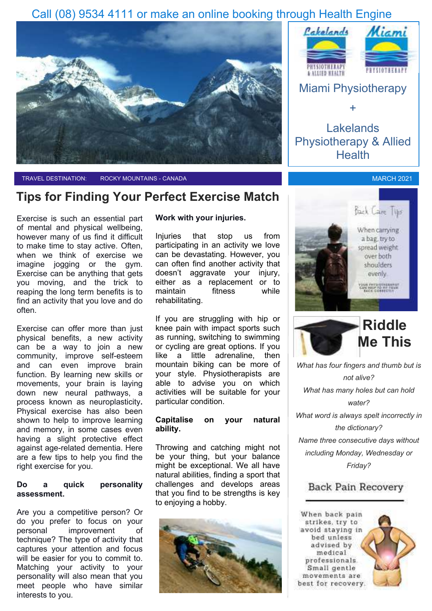## Call (08) 9534 4111 or make an online booking through Health Engine



TRAVEL DESTINATION: ROCKY MOUNTAINS - CANADA MARCH 2021 AND RESERVE TO A MARCH 2021

### **Tips for Finding Your Perfect Exercise Match**

Exercise is such an essential part of mental and physical wellbeing, however many of us find it difficult to make time to stay active. Often, when we think of exercise we imagine jogging or the gym. Exercise can be anything that gets you moving, and the trick to reaping the long term benefits is to find an activity that you love and do often.

Exercise can offer more than just physical benefits, a new activity can be a way to join a new community, improve self-esteem and can even improve brain function. By learning new skills or movements, your brain is laying down new neural pathways, a process known as neuroplasticity**.**  Physical exercise has also been shown to help to improve learning and memory, in some cases even having a slight protective effect against age-related dementia. Here are a few tips to help you find the right exercise for you.

#### **Do a quick personality assessment.**

Are you a competitive person? Or do you prefer to focus on your personal improvement of technique? The type of activity that captures your attention and focus will be easier for you to commit to. Matching your activity to your personality will also mean that you meet people who have similar interests to you.

#### **Work with your injuries.**

Injuries that stop us from participating in an activity we love can be devastating. However, you can often find another activity that doesn't aggravate your injury, either as a replacement or to maintain fitness while rehabilitating.

If you are struggling with hip or knee pain with impact sports such as running, switching to swimming or cycling are great options. If you like a little adrenaline, then mountain biking can be more of your style. Physiotherapists are able to advise you on which activities will be suitable for your particular condition.

#### **Capitalise on your natural ability.**

Throwing and catching might not be your thing, but your balance might be exceptional. We all have natural abilities, finding a sport that challenges and develops areas that you find to be strengths is key to enjoying a hobby.





Lakelands Physiotherapy & Allied **Health** 

+





*What has four fingers and thumb but is not alive? What has many holes but can hold water? What word is always spelt incorrectly in the dictionary? Name three consecutive days without including Monday, Wednesday or Friday?*

### Back Pain Recovery

When back pain strikes, try to avoid staying in bed unless advised by medical professionals. Small gentle movements are best for recovery.